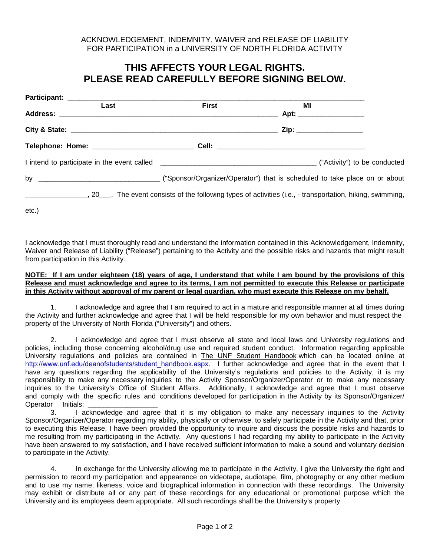## ACKNOWLEDGEMENT, INDEMNITY, WAIVER and RELEASE OF LIABILITY FOR PARTICIPATION in a UNIVERSITY OF NORTH FLORIDA ACTIVITY

## **THIS AFFECTS YOUR LEGAL RIGHTS. PLEASE READ CAREFULLY BEFORE SIGNING BELOW.**

| Last                                                                                                                                | <b>First</b> | ΜI                             |  |
|-------------------------------------------------------------------------------------------------------------------------------------|--------------|--------------------------------|--|
|                                                                                                                                     |              | Apt: _________________________ |  |
|                                                                                                                                     |              | Zip: __________________        |  |
|                                                                                                                                     |              |                                |  |
|                                                                                                                                     |              |                                |  |
|                                                                                                                                     |              |                                |  |
| ______________________, 20_____. The event consists of the following types of activities (i.e., - transportation, hiking, swimming, |              |                                |  |

etc.)

I acknowledge that I must thoroughly read and understand the information contained in this Acknowledgement, Indemnity, Waiver and Release of Liability ("Release") pertaining to the Activity and the possible risks and hazards that might result from participation in this Activity.

## **NOTE: If I am under eighteen (18) years of age, I understand that while I am bound by the provisions of this Release and must acknowledge and agree to its terms, I am not permitted to execute this Release or participate in this Activity without approval of my parent or legal guardian, who must execute this Release on my behalf.**

1. I acknowledge and agree that I am required to act in a mature and responsible manner at all times during the Activity and further acknowledge and agree that I will be held responsible for my own behavior and must respect the property of the University of North Florida ("University") and others.

2. I acknowledge and agree that I must observe all state and local laws and University regulations and policies, including those concerning alcohol/drug use and required student conduct. Information regarding applicable University regulations and policies are contained in The UNF Student Handbook which can be located online at [http://www.unf.edu/deanofstudents](http://www.unf.edu/studentaffairs/)/student\_handbook.aspx. I further acknowledge and agree that in the event that I have any questions regarding the applicability of the University's regulations and policies to the Activity, it is my responsibility to make any necessary inquiries to the Activity Sponsor/Organizer/Operator or to make any necessary inquiries to the University's Office of Student Affairs. Additionally, I acknowledge and agree that I must observe and comply with the specific rules and conditions developed for participation in the Activity by its Sponsor/Organizer/ Operator Initials:

3. I acknowledge and agree that it is my obligation to make any necessary inquiries to the Activity Sponsor/Organizer/Operator regarding my ability, physically or otherwise, to safely participate in the Activity and that, prior to executing this Release, I have been provided the opportunity to inquire and discuss the possible risks and hazards to me resulting from my participating in the Activity. Any questions I had regarding my ability to participate in the Activity have been answered to my satisfaction, and I have received sufficient information to make a sound and voluntary decision to participate in the Activity.

4. In exchange for the University allowing me to participate in the Activity, I give the University the right and permission to record my participation and appearance on videotape, audiotape, film, photography or any other medium and to use my name, likeness, voice and biographical information in connection with these recordings. The University may exhibit or distribute all or any part of these recordings for any educational or promotional purpose which the University and its employees deem appropriate. All such recordings shall be the University's property.